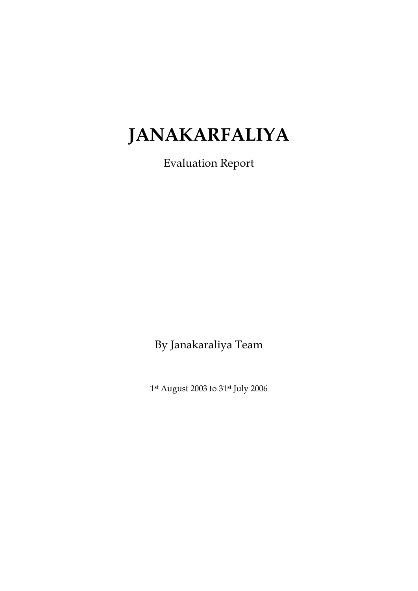# **JANAKARFALIYA**

Evaluation Report

By Janakaraliya Team

1st August 2003 to 31st July 2006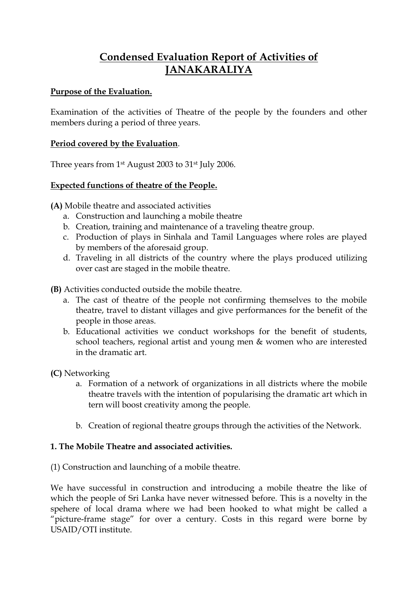# **Condensed Evaluation Report of Activities of JANAKARALIYA**

## **Purpose of the Evaluation.**

Examination of the activities of Theatre of the people by the founders and other members during a period of three years.

## **Period covered by the Evaluation**.

Three years from 1st August 2003 to 31st July 2006.

#### **Expected functions of theatre of the People.**

**(A)** Mobile theatre and associated activities

- a. Construction and launching a mobile theatre
- b. Creation, training and maintenance of a traveling theatre group.
- c. Production of plays in Sinhala and Tamil Languages where roles are played by members of the aforesaid group.
- d. Traveling in all districts of the country where the plays produced utilizing over cast are staged in the mobile theatre.

**(B)** Activities conducted outside the mobile theatre.

- a. The cast of theatre of the people not confirming themselves to the mobile theatre, travel to distant villages and give performances for the benefit of the people in those areas.
- b. Educational activities we conduct workshops for the benefit of students, school teachers, regional artist and young men & women who are interested in the dramatic art.

**(C)** Networking

- a. Formation of a network of organizations in all districts where the mobile theatre travels with the intention of popularising the dramatic art which in tern will boost creativity among the people.
- b. Creation of regional theatre groups through the activities of the Network.

## **1. The Mobile Theatre and associated activities.**

(1) Construction and launching of a mobile theatre.

We have successful in construction and introducing a mobile theatre the like of which the people of Sri Lanka have never witnessed before. This is a novelty in the spehere of local drama where we had been hooked to what might be called a "picture-frame stage" for over a century. Costs in this regard were borne by USAID/OTI institute.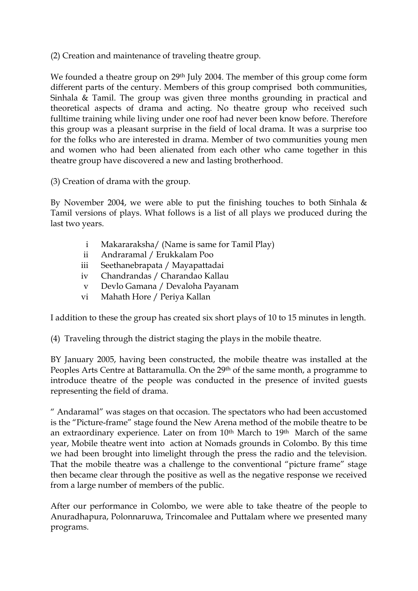(2) Creation and maintenance of traveling theatre group.

We founded a theatre group on 29<sup>th</sup> July 2004. The member of this group come form different parts of the century. Members of this group comprised both communities, Sinhala & Tamil. The group was given three months grounding in practical and theoretical aspects of drama and acting. No theatre group who received such fulltime training while living under one roof had never been know before. Therefore this group was a pleasant surprise in the field of local drama. It was a surprise too for the folks who are interested in drama. Member of two communities young men and women who had been alienated from each other who came together in this theatre group have discovered a new and lasting brotherhood.

(3) Creation of drama with the group.

By November 2004, we were able to put the finishing touches to both Sinhala  $\&$ Tamil versions of plays. What follows is a list of all plays we produced during the last two years.

- i Makararaksha/ (Name is same for Tamil Play)
- ii Andraramal / Erukkalam Poo
- iii Seethanebrapata / Mayapattadai
- iv Chandrandas / Charandao Kallau
- v Devlo Gamana / Devaloha Payanam
- vi Mahath Hore / Periya Kallan

I addition to these the group has created six short plays of 10 to 15 minutes in length.

(4) Traveling through the district staging the plays in the mobile theatre.

BY January 2005, having been constructed, the mobile theatre was installed at the Peoples Arts Centre at Battaramulla. On the 29<sup>th</sup> of the same month, a programme to introduce theatre of the people was conducted in the presence of invited guests representing the field of drama.

" Andaramal" was stages on that occasion. The spectators who had been accustomed is the "Picture-frame" stage found the New Arena method of the mobile theatre to be an extraordinary experience. Later on from 10<sup>th</sup> March to 19<sup>th</sup> March of the same year, Mobile theatre went into action at Nomads grounds in Colombo. By this time we had been brought into limelight through the press the radio and the television. That the mobile theatre was a challenge to the conventional "picture frame" stage then became clear through the positive as well as the negative response we received from a large number of members of the public.

After our performance in Colombo, we were able to take theatre of the people to Anuradhapura, Polonnaruwa, Trincomalee and Puttalam where we presented many programs.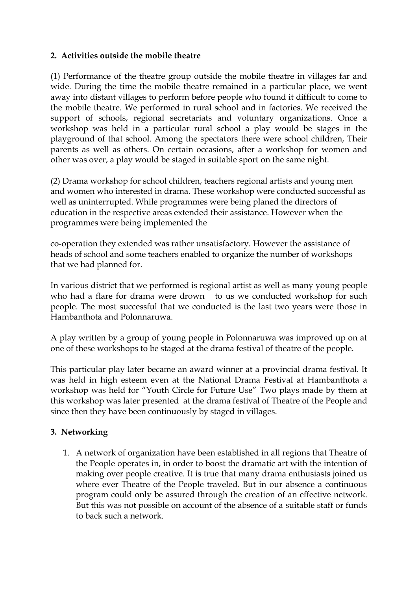#### **2. Activities outside the mobile theatre**

(1) Performance of the theatre group outside the mobile theatre in villages far and wide. During the time the mobile theatre remained in a particular place, we went away into distant villages to perform before people who found it difficult to come to the mobile theatre. We performed in rural school and in factories. We received the support of schools, regional secretariats and voluntary organizations. Once a workshop was held in a particular rural school a play would be stages in the playground of that school. Among the spectators there were school children, Their parents as well as others. On certain occasions, after a workshop for women and other was over, a play would be staged in suitable sport on the same night.

(2) Drama workshop for school children, teachers regional artists and young men and women who interested in drama. These workshop were conducted successful as well as uninterrupted. While programmes were being planed the directors of education in the respective areas extended their assistance. However when the programmes were being implemented the

co-operation they extended was rather unsatisfactory. However the assistance of heads of school and some teachers enabled to organize the number of workshops that we had planned for.

In various district that we performed is regional artist as well as many young people who had a flare for drama were drown to us we conducted workshop for such people. The most successful that we conducted is the last two years were those in Hambanthota and Polonnaruwa.

A play written by a group of young people in Polonnaruwa was improved up on at one of these workshops to be staged at the drama festival of theatre of the people.

This particular play later became an award winner at a provincial drama festival. It was held in high esteem even at the National Drama Festival at Hambanthota a workshop was held for "Youth Circle for Future Use" Two plays made by them at this workshop was later presented at the drama festival of Theatre of the People and since then they have been continuously by staged in villages.

## **3. Networking**

1. A network of organization have been established in all regions that Theatre of the People operates in, in order to boost the dramatic art with the intention of making over people creative. It is true that many drama enthusiasts joined us where ever Theatre of the People traveled. But in our absence a continuous program could only be assured through the creation of an effective network. But this was not possible on account of the absence of a suitable staff or funds to back such a network.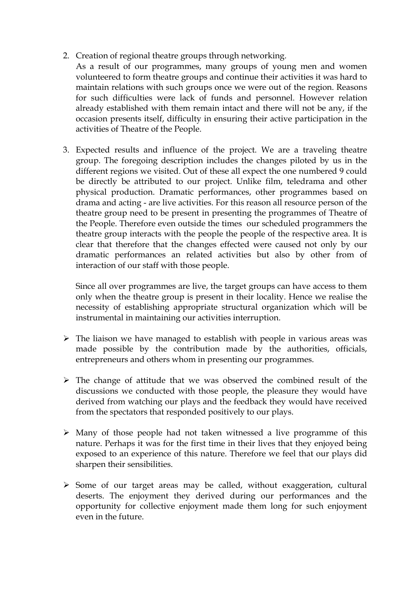- 2. Creation of regional theatre groups through networking.
	- As a result of our programmes, many groups of young men and women volunteered to form theatre groups and continue their activities it was hard to maintain relations with such groups once we were out of the region. Reasons for such difficulties were lack of funds and personnel. However relation already established with them remain intact and there will not be any, if the occasion presents itself, difficulty in ensuring their active participation in the activities of Theatre of the People.
- 3. Expected results and influence of the project. We are a traveling theatre group. The foregoing description includes the changes piloted by us in the different regions we visited. Out of these all expect the one numbered 9 could be directly be attributed to our project. Unlike film, teledrama and other physical production. Dramatic performances, other programmes based on drama and acting - are live activities. For this reason all resource person of the theatre group need to be present in presenting the programmes of Theatre of the People. Therefore even outside the times our scheduled programmers the theatre group interacts with the people the people of the respective area. It is clear that therefore that the changes effected were caused not only by our dramatic performances an related activities but also by other from of interaction of our staff with those people.

Since all over programmes are live, the target groups can have access to them only when the theatre group is present in their locality. Hence we realise the necessity of establishing appropriate structural organization which will be instrumental in maintaining our activities interruption.

- $\triangleright$  The liaison we have managed to establish with people in various areas was made possible by the contribution made by the authorities, officials, entrepreneurs and others whom in presenting our programmes.
- $\triangleright$  The change of attitude that we was observed the combined result of the discussions we conducted with those people, the pleasure they would have derived from watching our plays and the feedback they would have received from the spectators that responded positively to our plays.
- $\triangleright$  Many of those people had not taken witnessed a live programme of this nature. Perhaps it was for the first time in their lives that they enjoyed being exposed to an experience of this nature. Therefore we feel that our plays did sharpen their sensibilities.
- $\triangleright$  Some of our target areas may be called, without exaggeration, cultural deserts. The enjoyment they derived during our performances and the opportunity for collective enjoyment made them long for such enjoyment even in the future.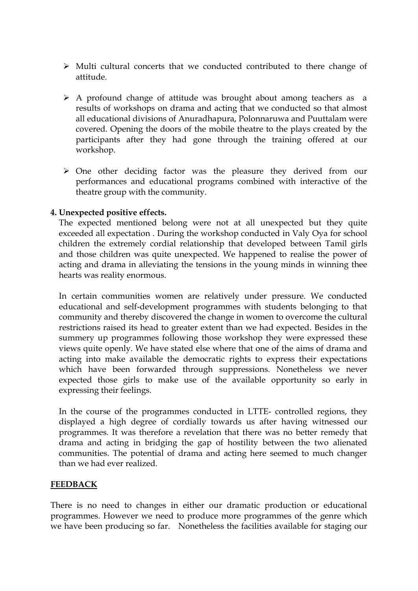- $\triangleright$  Multi cultural concerts that we conducted contributed to there change of attitude.
- A profound change of attitude was brought about among teachers as a results of workshops on drama and acting that we conducted so that almost all educational divisions of Anuradhapura, Polonnaruwa and Puuttalam were covered. Opening the doors of the mobile theatre to the plays created by the participants after they had gone through the training offered at our workshop.
- One other deciding factor was the pleasure they derived from our performances and educational programs combined with interactive of the theatre group with the community.

#### **4. Unexpected positive effects.**

The expected mentioned belong were not at all unexpected but they quite exceeded all expectation . During the workshop conducted in Valy Oya for school children the extremely cordial relationship that developed between Tamil girls and those children was quite unexpected. We happened to realise the power of acting and drama in alleviating the tensions in the young minds in winning thee hearts was reality enormous.

In certain communities women are relatively under pressure. We conducted educational and self-development programmes with students belonging to that community and thereby discovered the change in women to overcome the cultural restrictions raised its head to greater extent than we had expected. Besides in the summery up programmes following those workshop they were expressed these views quite openly. We have stated else where that one of the aims of drama and acting into make available the democratic rights to express their expectations which have been forwarded through suppressions. Nonetheless we never expected those girls to make use of the available opportunity so early in expressing their feelings.

In the course of the programmes conducted in LTTE- controlled regions, they displayed a high degree of cordially towards us after having witnessed our programmes. It was therefore a revelation that there was no better remedy that drama and acting in bridging the gap of hostility between the two alienated communities. The potential of drama and acting here seemed to much changer than we had ever realized.

#### **FEEDBACK**

There is no need to changes in either our dramatic production or educational programmes. However we need to produce more programmes of the genre which we have been producing so far. Nonetheless the facilities available for staging our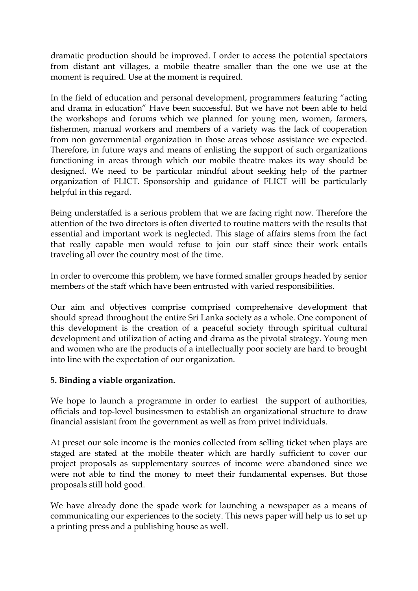dramatic production should be improved. I order to access the potential spectators from distant ant villages, a mobile theatre smaller than the one we use at the moment is required. Use at the moment is required.

In the field of education and personal development, programmers featuring "acting and drama in education" Have been successful. But we have not been able to held the workshops and forums which we planned for young men, women, farmers, fishermen, manual workers and members of a variety was the lack of cooperation from non governmental organization in those areas whose assistance we expected. Therefore, in future ways and means of enlisting the support of such organizations functioning in areas through which our mobile theatre makes its way should be designed. We need to be particular mindful about seeking help of the partner organization of FLICT. Sponsorship and guidance of FLICT will be particularly helpful in this regard.

Being understaffed is a serious problem that we are facing right now. Therefore the attention of the two directors is often diverted to routine matters with the results that essential and important work is neglected. This stage of affairs stems from the fact that really capable men would refuse to join our staff since their work entails traveling all over the country most of the time.

In order to overcome this problem, we have formed smaller groups headed by senior members of the staff which have been entrusted with varied responsibilities.

Our aim and objectives comprise comprised comprehensive development that should spread throughout the entire Sri Lanka society as a whole. One component of this development is the creation of a peaceful society through spiritual cultural development and utilization of acting and drama as the pivotal strategy. Young men and women who are the products of a intellectually poor society are hard to brought into line with the expectation of our organization.

## **5. Binding a viable organization.**

We hope to launch a programme in order to earliest the support of authorities, officials and top-level businessmen to establish an organizational structure to draw financial assistant from the government as well as from privet individuals.

At preset our sole income is the monies collected from selling ticket when plays are staged are stated at the mobile theater which are hardly sufficient to cover our project proposals as supplementary sources of income were abandoned since we were not able to find the money to meet their fundamental expenses. But those proposals still hold good.

We have already done the spade work for launching a newspaper as a means of communicating our experiences to the society. This news paper will help us to set up a printing press and a publishing house as well.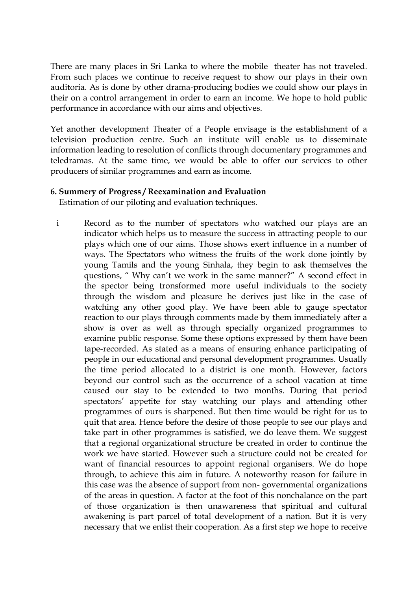There are many places in Sri Lanka to where the mobile theater has not traveled. From such places we continue to receive request to show our plays in their own auditoria. As is done by other drama-producing bodies we could show our plays in their on a control arrangement in order to earn an income. We hope to hold public performance in accordance with our aims and objectives.

Yet another development Theater of a People envisage is the establishment of a television production centre. Such an institute will enable us to disseminate information leading to resolution of conflicts through documentary programmes and teledramas. At the same time, we would be able to offer our services to other producers of similar programmes and earn as income.

#### **6. Summery of Progress / Reexamination and Evaluation**

Estimation of our piloting and evaluation techniques.

i Record as to the number of spectators who watched our plays are an indicator which helps us to measure the success in attracting people to our plays which one of our aims. Those shows exert influence in a number of ways. The Spectators who witness the fruits of the work done jointly by young Tamils and the young Sinhala, they begin to ask themselves the questions, " Why can't we work in the same manner?" A second effect in the spector being tronsformed more useful individuals to the society through the wisdom and pleasure he derives just like in the case of watching any other good play. We have been able to gauge spectator reaction to our plays through comments made by them immediately after a show is over as well as through specially organized programmes to examine public response. Some these options expressed by them have been tape-recorded. As stated as a means of ensuring enhance participating of people in our educational and personal development programmes. Usually the time period allocated to a district is one month. However, factors beyond our control such as the occurrence of a school vacation at time caused our stay to be extended to two months. During that period spectators' appetite for stay watching our plays and attending other programmes of ours is sharpened. But then time would be right for us to quit that area. Hence before the desire of those people to see our plays and take part in other programmes is satisfied, we do leave them. We suggest that a regional organizational structure be created in order to continue the work we have started. However such a structure could not be created for want of financial resources to appoint regional organisers. We do hope through, to achieve this aim in future. A noteworthy reason for failure in this case was the absence of support from non- governmental organizations of the areas in question. A factor at the foot of this nonchalance on the part of those organization is then unawareness that spiritual and cultural awakening is part parcel of total development of a nation. But it is very necessary that we enlist their cooperation. As a first step we hope to receive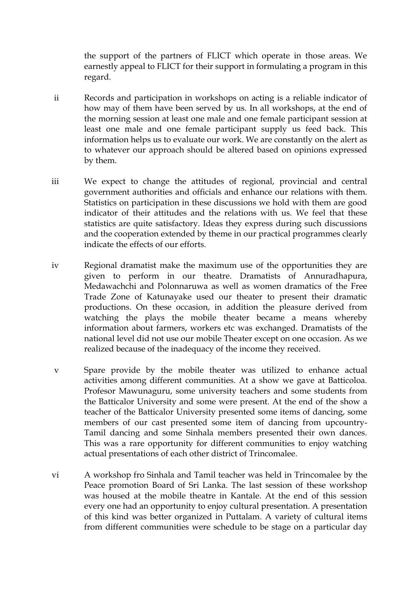the support of the partners of FLICT which operate in those areas. We earnestly appeal to FLICT for their support in formulating a program in this regard.

- ii Records and participation in workshops on acting is a reliable indicator of how may of them have been served by us. In all workshops, at the end of the morning session at least one male and one female participant session at least one male and one female participant supply us feed back. This information helps us to evaluate our work. We are constantly on the alert as to whatever our approach should be altered based on opinions expressed by them.
- iii We expect to change the attitudes of regional, provincial and central government authorities and officials and enhance our relations with them. Statistics on participation in these discussions we hold with them are good indicator of their attitudes and the relations with us. We feel that these statistics are quite satisfactory. Ideas they express during such discussions and the cooperation extended by theme in our practical programmes clearly indicate the effects of our efforts.
- iv Regional dramatist make the maximum use of the opportunities they are given to perform in our theatre. Dramatists of Annuradhapura, Medawachchi and Polonnaruwa as well as women dramatics of the Free Trade Zone of Katunayake used our theater to present their dramatic productions. On these occasion, in addition the pleasure derived from watching the plays the mobile theater became a means whereby information about farmers, workers etc was exchanged. Dramatists of the national level did not use our mobile Theater except on one occasion. As we realized because of the inadequacy of the income they received.
- v Spare provide by the mobile theater was utilized to enhance actual activities among different communities. At a show we gave at Batticoloa. Profesor Mawunaguru, some university teachers and some students from the Batticalor University and some were present. At the end of the show a teacher of the Batticalor University presented some items of dancing, some members of our cast presented some item of dancing from upcountry-Tamil dancing and some Sinhala members presented their own dances. This was a rare opportunity for different communities to enjoy watching actual presentations of each other district of Trincomalee.
- vi A workshop fro Sinhala and Tamil teacher was held in Trincomalee by the Peace promotion Board of Sri Lanka. The last session of these workshop was housed at the mobile theatre in Kantale. At the end of this session every one had an opportunity to enjoy cultural presentation. A presentation of this kind was better organized in Puttalam. A variety of cultural items from different communities were schedule to be stage on a particular day